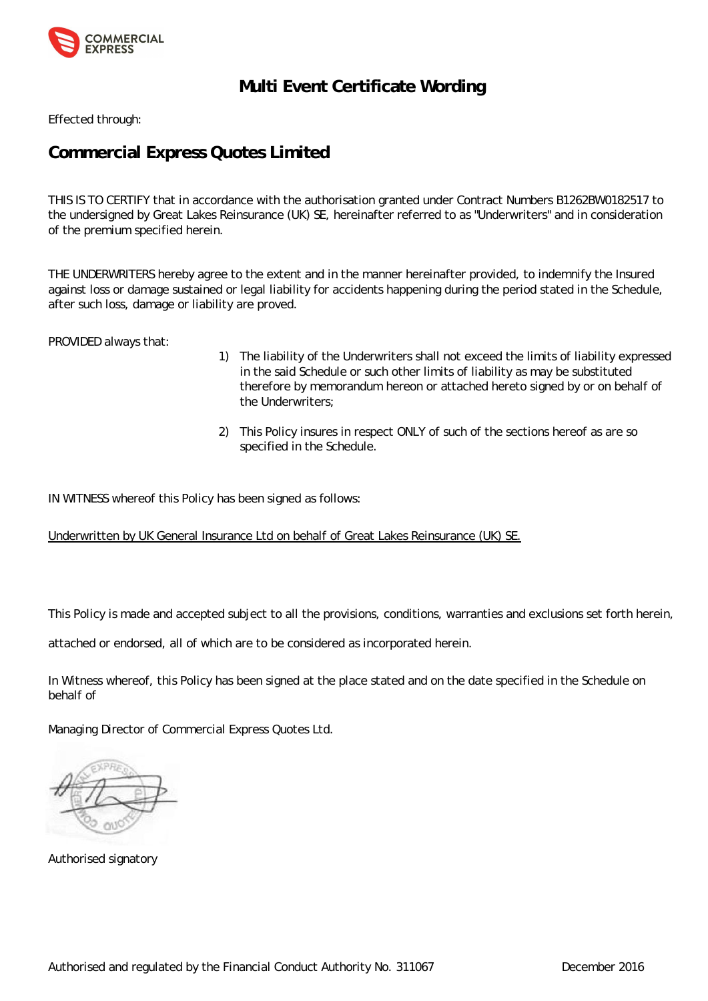

# **Multi Event Certificate Wording**

Effected through:

# **Commercial Express Quotes Limited**

THIS IS TO CERTIFY that in accordance with the authorisation granted under Contract Numbers B1262BW0182517 to the undersigned by Great Lakes Reinsurance (UK) SE, hereinafter referred to as "Underwriters" and in consideration of the premium specified herein.

THE UNDERWRITERS hereby agree to the extent and in the manner hereinafter provided, to indemnify the Insured against loss or damage sustained or legal liability for accidents happening during the period stated in the Schedule, after such loss, damage or liability are proved.

PROVIDED always that:

- 1) The liability of the Underwriters shall not exceed the limits of liability expressed in the said Schedule or such other limits of liability as may be substituted therefore by memorandum hereon or attached hereto signed by or on behalf of the Underwriters;
- 2) This Policy insures in respect ONLY of such of the sections hereof as are so specified in the Schedule.

IN WITNESS whereof this Policy has been signed as follows:

Underwritten by UK General Insurance Ltd on behalf of Great Lakes Reinsurance (UK) SE.

This Policy is made and accepted subject to all the provisions, conditions, warranties and exclusions set forth herein,

attached or endorsed, all of which are to be considered as incorporated herein.

In Witness whereof, this Policy has been signed at the place stated and on the date specified in the Schedule on behalf of

Managing Director of Commercial Express Quotes Ltd.

Authorised signatory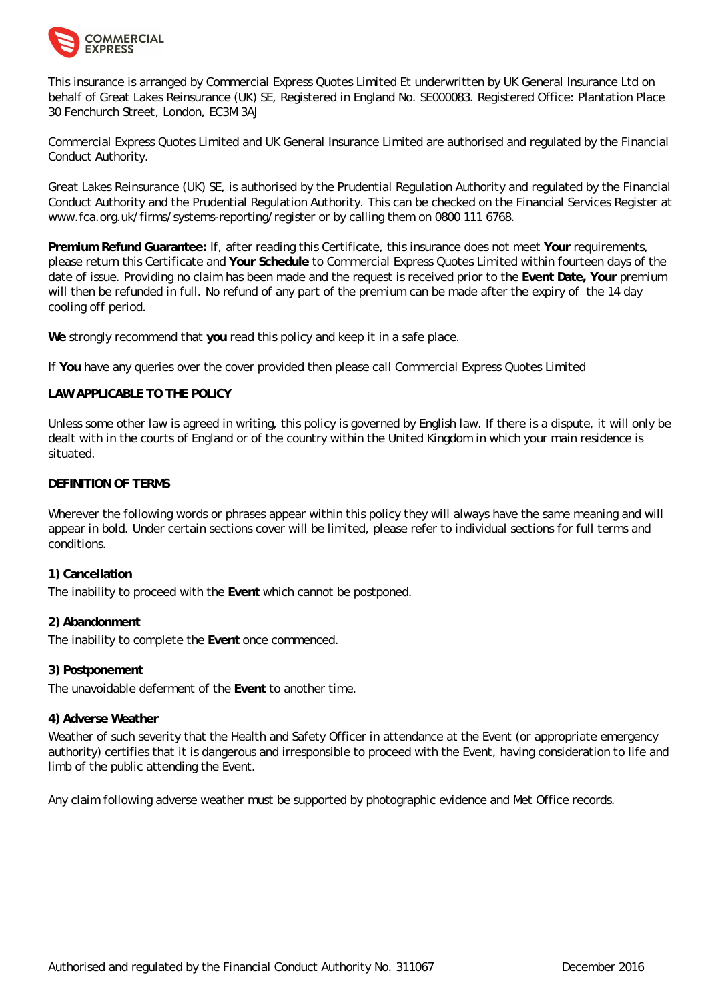

This insurance is arranged by Commercial Express Quotes Limited Et underwritten by UK General Insurance Ltd on behalf of Great Lakes Reinsurance (UK) SE, Registered in England No. SE000083. Registered Office: Plantation Place 30 Fenchurch Street, London, EC3M 3AJ

Commercial Express Quotes Limited and UK General Insurance Limited are authorised and regulated by the Financial Conduct Authority.

Great Lakes Reinsurance (UK) SE, is authorised by the Prudential Regulation Authority and regulated by the Financial Conduct Authority and the Prudential Regulation Authority. This can be checked on the Financial Services Register at <www.fca.org.uk/firms/systems-reporting/register> or by calling them on 0800 111 6768.

**Premium Refund Guarantee:** If, after reading this Certificate, this insurance does not meet **Your** requirements, please return this Certificate and **Your Schedule** to Commercial Express Quotes Limited within fourteen days of the date of issue. Providing no claim has been made and the request is received prior to the **Event Date, Your** premium will then be refunded in full. No refund of any part of the premium can be made after the expiry of the 14 day cooling off period.

**We** strongly recommend that **you** read this policy and keep it in a safe place.

If **You** have any queries over the cover provided then please call Commercial Express Quotes Limited

# **LAW APPLICABLE TO THE POLICY**

Unless some other law is agreed in writing, this policy is governed by English law. If there is a dispute, it will only be dealt with in the courts of England or of the country within the United Kingdom in which your main residence is situated.

#### **DEFINITION OF TERMS**

Wherever the following words or phrases appear within this policy they will always have the same meaning and will appear in bold. Under certain sections cover will be limited, please refer to individual sections for full terms and conditions.

# **1) Cancellation**

The inability to proceed with the **Event** which cannot be postponed.

#### **2) Abandonment**

The inability to complete the **Event** once commenced.

#### **3) Postponement**

The unavoidable deferment of the **Event** to another time.

#### **4) Adverse Weather**

Weather of such severity that the Health and Safety Officer in attendance at the Event (or appropriate emergency authority) certifies that it is dangerous and irresponsible to proceed with the Event, having consideration to life and limb of the public attending the Event.

Any claim following adverse weather must be supported by photographic evidence and Met Office records.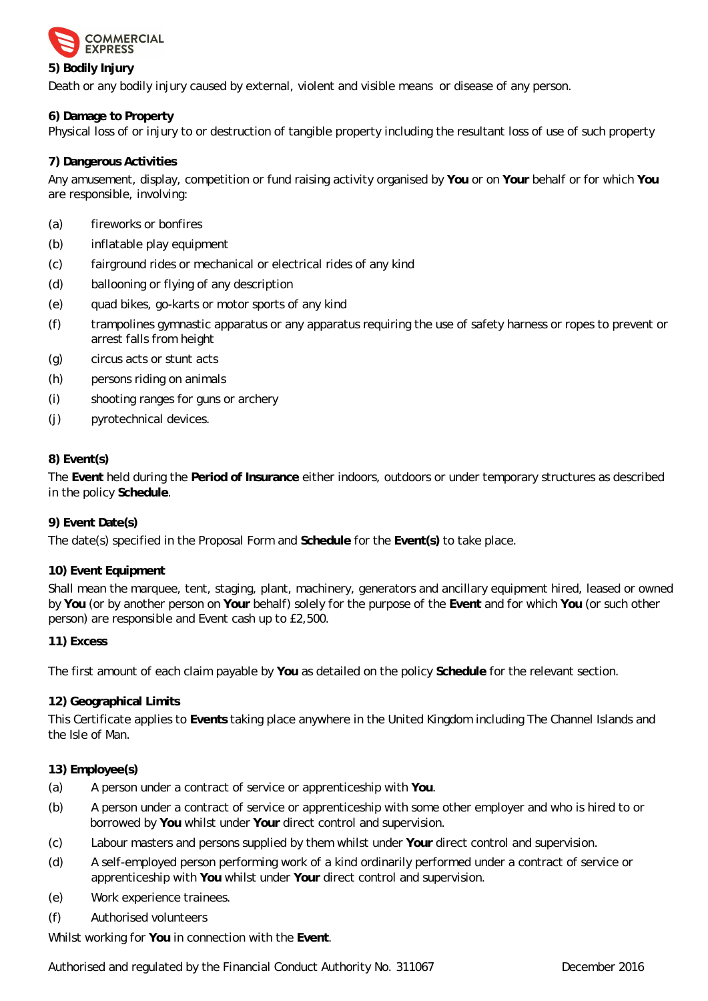

# **5) Bodily Injury**

Death or any bodily injury caused by external, violent and visible means or disease of any person.

**6) Damage to Property**

Physical loss of or injury to or destruction of tangible property including the resultant loss of use of such property

# **7) Dangerous Activities**

Any amusement, display, competition or fund raising activity organised by **You** or on **Your** behalf or for which **You** are responsible, involving:

- (a) fireworks or bonfires
- (b) inflatable play equipment
- (c) fairground rides or mechanical or electrical rides of any kind
- (d) ballooning or flying of any description
- (e) quad bikes, go-karts or motor sports of any kind
- (f) trampolines gymnastic apparatus or any apparatus requiring the use of safety harness or ropes to prevent or arrest falls from height
- (g) circus acts or stunt acts
- (h) persons riding on animals
- (i) shooting ranges for guns or archery
- (j) pyrotechnical devices.

# **8) Event(s)**

The **Event** held during the **Period of Insurance** either indoors, outdoors or under temporary structures as described in the policy **Schedule**.

# **9) Event Date(s)**

The date(s) specified in the Proposal Form and **Schedule** for the **Event(s)** to take place.

# **10) Event Equipment**

Shall mean the marquee, tent, staging, plant, machinery, generators and ancillary equipment hired, leased or owned by **You** (or by another person on **Your** behalf) solely for the purpose of the **Event** and for which **You** (or such other person) are responsible and Event cash up to £2,500.

# **11) Excess**

The first amount of each claim payable by **You** as detailed on the policy **Schedule** for the relevant section.

# **12) Geographical Limits**

This Certificate applies to **Events** taking place anywhere in the United Kingdom including The Channel Islands and the Isle of Man.

# **13) Employee(s)**

- (a) A person under a contract of service or apprenticeship with **You**.
- (b) A person under a contract of service or apprenticeship with some other employer and who is hired to or borrowed by **You** whilst under **Your** direct control and supervision.
- (c) Labour masters and persons supplied by them whilst under **Your** direct control and supervision.
- (d) A self-employed person performing work of a kind ordinarily performed under a contract of service or apprenticeship with **You** whilst under **Your** direct control and supervision.
- (e) Work experience trainees.
- (f) Authorised volunteers

Whilst working for **You** in connection with the **Event**.

Authorised and regulated by the Financial Conduct Authority No. 311067 The Commence 2016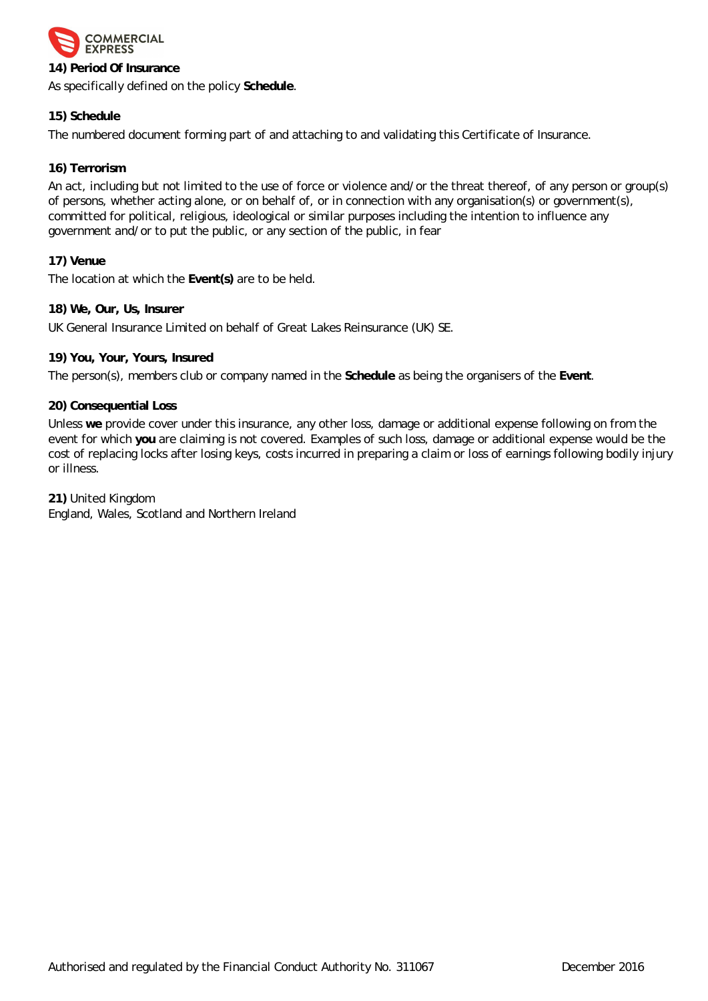

# **14) Period Of Insurance**

As specifically defined on the policy **Schedule**.

# **15) Schedule**

The numbered document forming part of and attaching to and validating this Certificate of Insurance.

# **16) Terrorism**

An act, including but not limited to the use of force or violence and/or the threat thereof, of any person or group(s) of persons, whether acting alone, or on behalf of, or in connection with any organisation(s) or government(s), committed for political, religious, ideological or similar purposes including the intention to influence any government and/or to put the public, or any section of the public, in fear

**17) Venue**

The location at which the **Event(s)** are to be held.

**18) We, Our, Us, Insurer**

UK General Insurance Limited on behalf of Great Lakes Reinsurance (UK) SE.

**19) You, Your, Yours, Insured**

The person(s), members club or company named in the **Schedule** as being the organisers of the **Event**.

**20) Consequential Loss**

Unless **we** provide cover under this insurance, any other loss, damage or additional expense following on from the event for which **you** are claiming is not covered. Examples of such loss, damage or additional expense would be the cost of replacing locks after losing keys, costs incurred in preparing a claim or loss of earnings following bodily injury or illness.

**21)** United Kingdom England, Wales, Scotland and Northern Ireland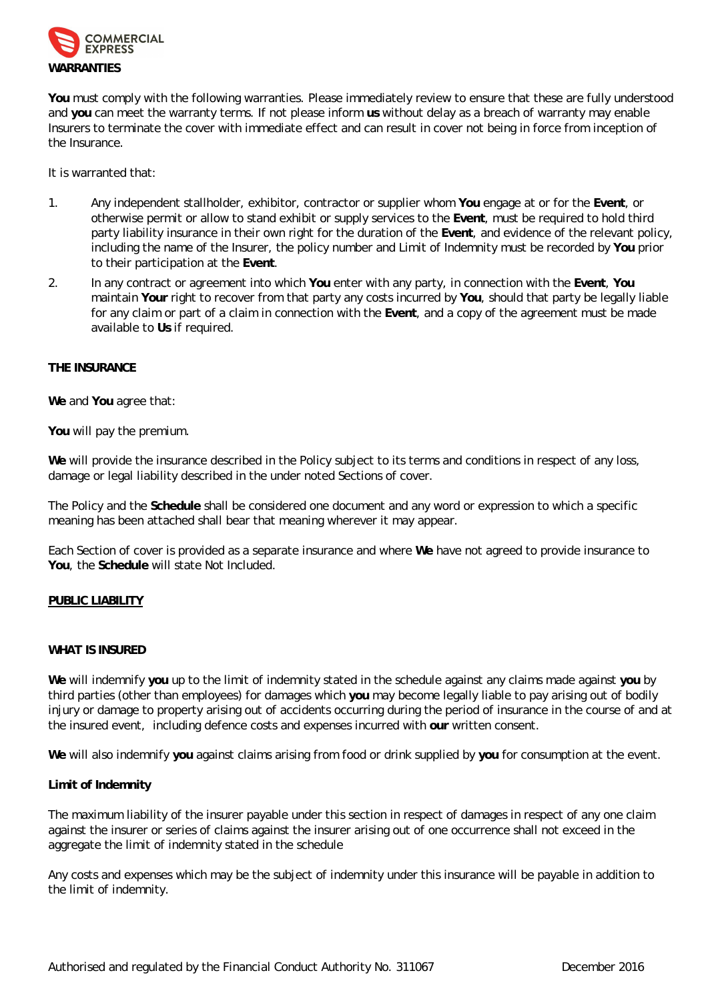

**You** must comply with the following warranties. Please immediately review to ensure that these are fully understood and **you** can meet the warranty terms. If not please inform **us** without delay as a breach of warranty may enable Insurers to terminate the cover with immediate effect and can result in cover not being in force from inception of the Insurance.

It is warranted that:

- 1. Any independent stallholder, exhibitor, contractor or supplier whom **You** engage at or for the **Event**, or otherwise permit or allow to stand exhibit or supply services to the **Event**, must be required to hold third party liability insurance in their own right for the duration of the **Event**, and evidence of the relevant policy, including the name of the Insurer, the policy number and Limit of Indemnity must be recorded by **You** prior to their participation at the **Event**.
- 2. In any contract or agreement into which **You** enter with any party, in connection with the **Event**, **You** maintain **Your** right to recover from that party any costs incurred by **You**, should that party be legally liable for any claim or part of a claim in connection with the **Event**, and a copy of the agreement must be made available to **Us** if required.

#### **THE INSURANCE**

**We** and **You** agree that:

**You** will pay the premium.

**We** will provide the insurance described in the Policy subject to its terms and conditions in respect of any loss, damage or legal liability described in the under noted Sections of cover.

The Policy and the **Schedule** shall be considered one document and any word or expression to which a specific meaning has been attached shall bear that meaning wherever it may appear.

Each Section of cover is provided as a separate insurance and where **We** have not agreed to provide insurance to **You**, the **Schedule** will state Not Included.

#### **PUBLIC LIABILITY**

#### **WHAT IS INSURED**

**We** will indemnify **you** up to the limit of indemnity stated in the schedule against any claims made against **you** by third parties (other than employees) for damages which **you** may become legally liable to pay arising out of bodily injury or damage to property arising out of accidents occurring during the period of insurance in the course of and at the insured event, including defence costs and expenses incurred with **our** written consent.

**We** will also indemnify **you** against claims arising from food or drink supplied by **you** for consumption at the event.

# **Limit of Indemnity**

The maximum liability of the insurer payable under this section in respect of damages in respect of any one claim against the insurer or series of claims against the insurer arising out of one occurrence shall not exceed in the aggregate the limit of indemnity stated in the schedule

Any costs and expenses which may be the subject of indemnity under this insurance will be payable in addition to the limit of indemnity.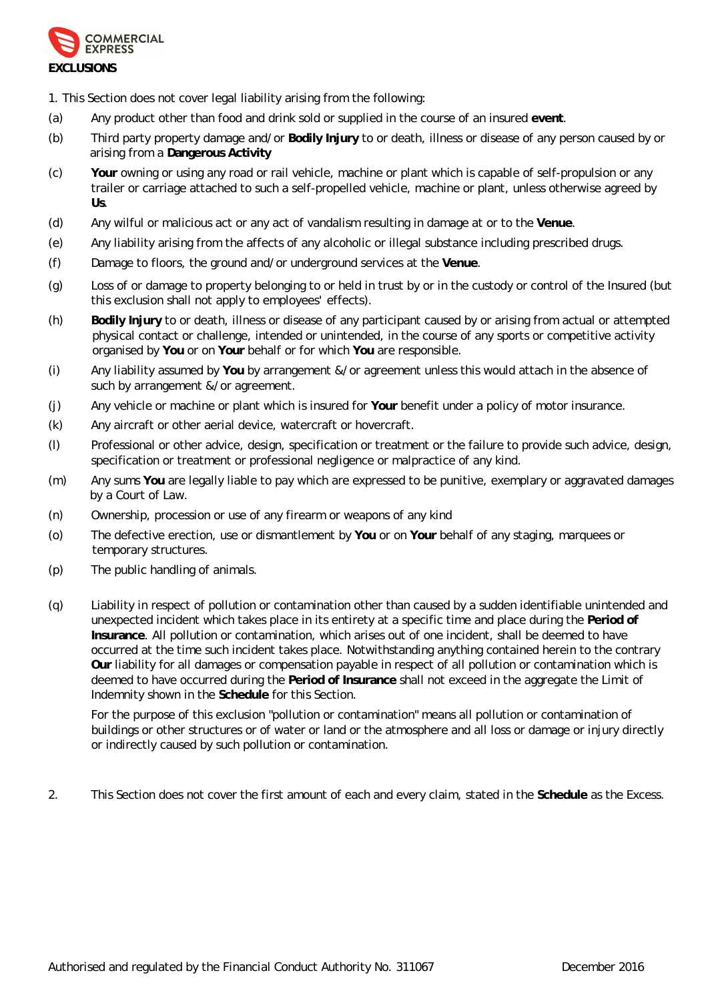

1. This Section does not cover legal liability arising from the following:

- (a) Any product other than food and drink sold or supplied in the course of an insured **event**.
- (b) Third party property damage and/or **Bodily Injury** to or death, illness or disease of any person caused by or arising from a **Dangerous Activity**
- (c) **Your** owning or using any road or rail vehicle, machine or plant which is capable of self-propulsion or any trailer or carriage attached to such a self-propelled vehicle, machine or plant, unless otherwise agreed by **Us**.
- (d) Any wilful or malicious act or any act of vandalism resulting in damage at or to the **Venue**.
- (e) Any liability arising from the affects of any alcoholic or illegal substance including prescribed drugs.
- (f) Damage to floors, the ground and/or underground services at the **Venue**.
- (g) Loss of or damage to property belonging to or held in trust by or in the custody or control of the Insured (but this exclusion shall not apply to employees' effects).
- (h) **Bodily Injury** to or death, illness or disease of any participant caused by or arising from actual or attempted physical contact or challenge, intended or unintended, in the course of any sports or competitive activity organised by **You** or on **Your** behalf or for which **You** are responsible.
- (i) Any liability assumed by **You** by arrangement &/or agreement unless this would attach in the absence of such by arrangement &/or agreement.
- (j) Any vehicle or machine or plant which is insured for **Your** benefit under a policy of motor insurance.
- (k) Any aircraft or other aerial device, watercraft or hovercraft.
- (l) Professional or other advice, design, specification or treatment or the failure to provide such advice, design, specification or treatment or professional negligence or malpractice of any kind.
- (m) Any sums **You** are legally liable to pay which are expressed to be punitive, exemplary or aggravated damages by a Court of Law.
- (n) Ownership, procession or use of any firearm or weapons of any kind
- (o) The defective erection, use or dismantlement by **You** or on **Your** behalf of any staging, marquees or temporary structures.
- (p) The public handling of animals.
- (q) Liability in respect of pollution or contamination other than caused by a sudden identifiable unintended and unexpected incident which takes place in its entirety at a specific time and place during the **Period of Insurance**. All pollution or contamination, which arises out of one incident, shall be deemed to have occurred at the time such incident takes place. Notwithstanding anything contained herein to the contrary **Our** liability for all damages or compensation payable in respect of all pollution or contamination which is deemed to have occurred during the **Period of Insurance** shall not exceed in the aggregate the Limit of Indemnity shown in the **Schedule** for this Section.

For the purpose of this exclusion "pollution or contamination" means all pollution or contamination of buildings or other structures or of water or land or the atmosphere and all loss or damage or injury directly or indirectly caused by such pollution or contamination.

2. This Section does not cover the first amount of each and every claim, stated in the **Schedule** as the Excess.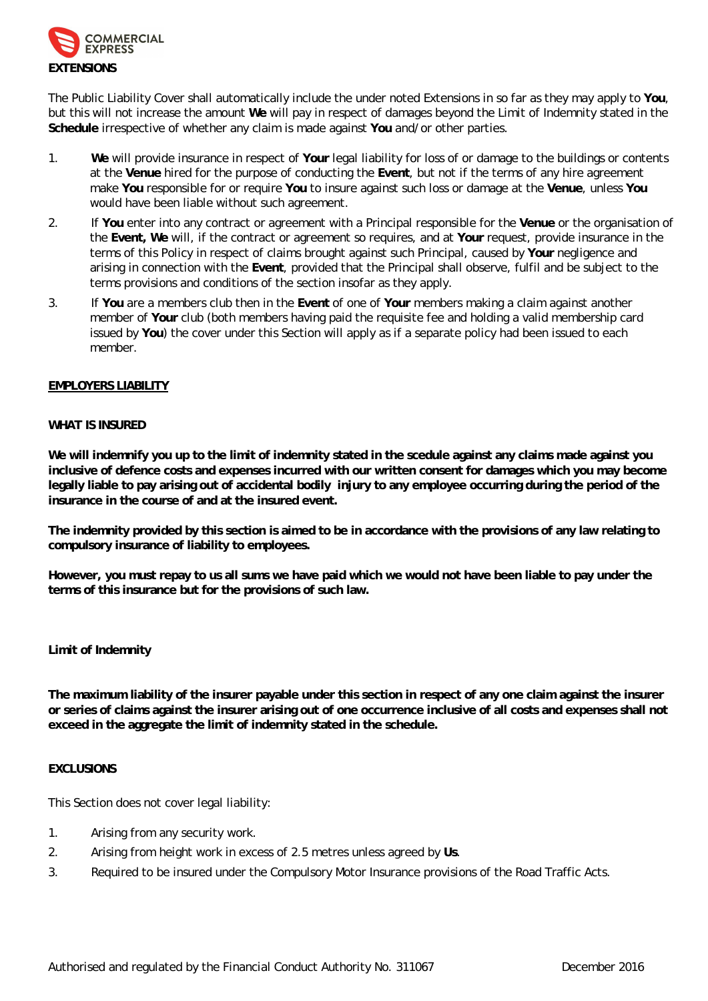

The Public Liability Cover shall automatically include the under noted Extensions in so far as they may apply to **You**, but this will not increase the amount **We** will pay in respect of damages beyond the Limit of Indemnity stated in the **Schedule** irrespective of whether any claim is made against **You** and/or other parties.

- 1. **We** will provide insurance in respect of **Your** legal liability for loss of or damage to the buildings or contents at the **Venue** hired for the purpose of conducting the **Event**, but not if the terms of any hire agreement make **You** responsible for or require **You** to insure against such loss or damage at the **Venue**, unless **You** would have been liable without such agreement.
- 2. If **You** enter into any contract or agreement with a Principal responsible for the **Venue** or the organisation of the **Event, We** will, if the contract or agreement so requires, and at **Your** request, provide insurance in the terms of this Policy in respect of claims brought against such Principal, caused by **Your** negligence and arising in connection with the **Event**, provided that the Principal shall observe, fulfil and be subject to the terms provisions and conditions of the section insofar as they apply.
- 3. If **You** are a members club then in the **Event** of one of **Your** members making a claim against another member of **Your** club (both members having paid the requisite fee and holding a valid membership card issued by **You**) the cover under this Section will apply as if a separate policy had been issued to each member.

# **EMPLOYERS LIABILITY**

#### **WHAT IS INSURED**

**We will indemnify you up to the limit of indemnity stated in the scedule against any claims made against you inclusive of defence costs and expenses incurred with our written consent for damages which you may become**  legally liable to pay arising out of accidental bodily injury to any employee occurring during the period of the **insurance in the course of and at the insured event.**

**The indemnity provided by this section is aimed to be in accordance with the provisions of any law relating to compulsory insurance of liability to employees.**

**However, you must repay to us all sums we have paid which we would not have been liable to pay under the terms of this insurance but for the provisions of such law.**

# **Limit of Indemnity**

**The maximum liability of the insurer payable under this section in respect of any one claim against the insurer or series of claims against the insurer arising out of one occurrence inclusive of all costs and expenses shall not exceed in the aggregate the limit of indemnity stated in the schedule.** 

#### **EXCLUSIONS**

This Section does not cover legal liability:

- 1. Arising from any security work.
- 2. Arising from height work in excess of 2.5 metres unless agreed by **Us**.
- 3. Required to be insured under the Compulsory Motor Insurance provisions of the Road Traffic Acts.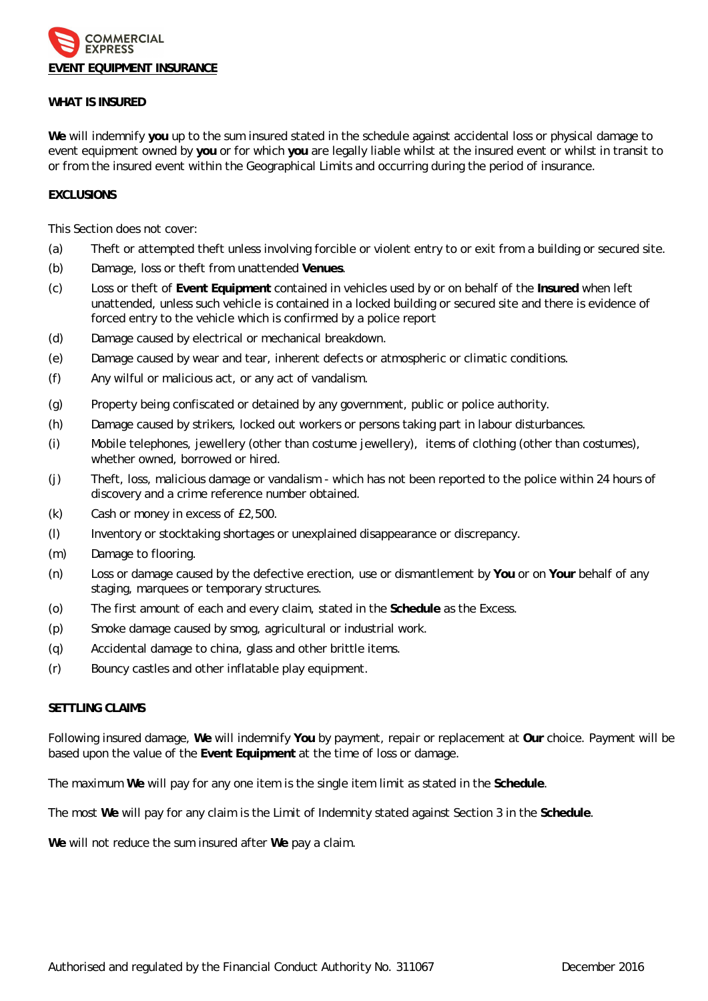

#### **WHAT IS INSURED**

**We** will indemnify **you** up to the sum insured stated in the schedule against accidental loss or physical damage to event equipment owned by **you** or for which **you** are legally liable whilst at the insured event or whilst in transit to or from the insured event within the Geographical Limits and occurring during the period of insurance.

## **EXCLUSIONS**

This Section does not cover:

- (a) Theft or attempted theft unless involving forcible or violent entry to or exit from a building or secured site.
- (b) Damage, loss or theft from unattended **Venues**.
- (c) Loss or theft of **Event Equipment** contained in vehicles used by or on behalf of the **Insured** when left unattended, unless such vehicle is contained in a locked building or secured site and there is evidence of forced entry to the vehicle which is confirmed by a police report
- (d) Damage caused by electrical or mechanical breakdown.
- (e) Damage caused by wear and tear, inherent defects or atmospheric or climatic conditions.
- (f) Any wilful or malicious act, or any act of vandalism.
- (g) Property being confiscated or detained by any government, public or police authority.
- (h) Damage caused by strikers, locked out workers or persons taking part in labour disturbances.
- (i) Mobile telephones, jewellery (other than costume jewellery), items of clothing (other than costumes), whether owned, borrowed or hired.
- (j) Theft, loss, malicious damage or vandalism which has not been reported to the police within 24 hours of discovery and a crime reference number obtained.
- (k) Cash or money in excess of £2,500.
- (l) Inventory or stocktaking shortages or unexplained disappearance or discrepancy.
- (m) Damage to flooring.
- (n) Loss or damage caused by the defective erection, use or dismantlement by **You** or on **Your** behalf of any staging, marquees or temporary structures.
- (o) The first amount of each and every claim, stated in the **Schedule** as the Excess.
- (p) Smoke damage caused by smog, agricultural or industrial work.
- (q) Accidental damage to china, glass and other brittle items.
- (r) Bouncy castles and other inflatable play equipment.

# **SETTLING CLAIMS**

Following insured damage, **We** will indemnify **You** by payment, repair or replacement at **Our** choice. Payment will be based upon the value of the **Event Equipment** at the time of loss or damage.

The maximum **We** will pay for any one item is the single item limit as stated in the **Schedule**.

The most **We** will pay for any claim is the Limit of Indemnity stated against Section 3 in the **Schedule**.

**We** will not reduce the sum insured after **We** pay a claim.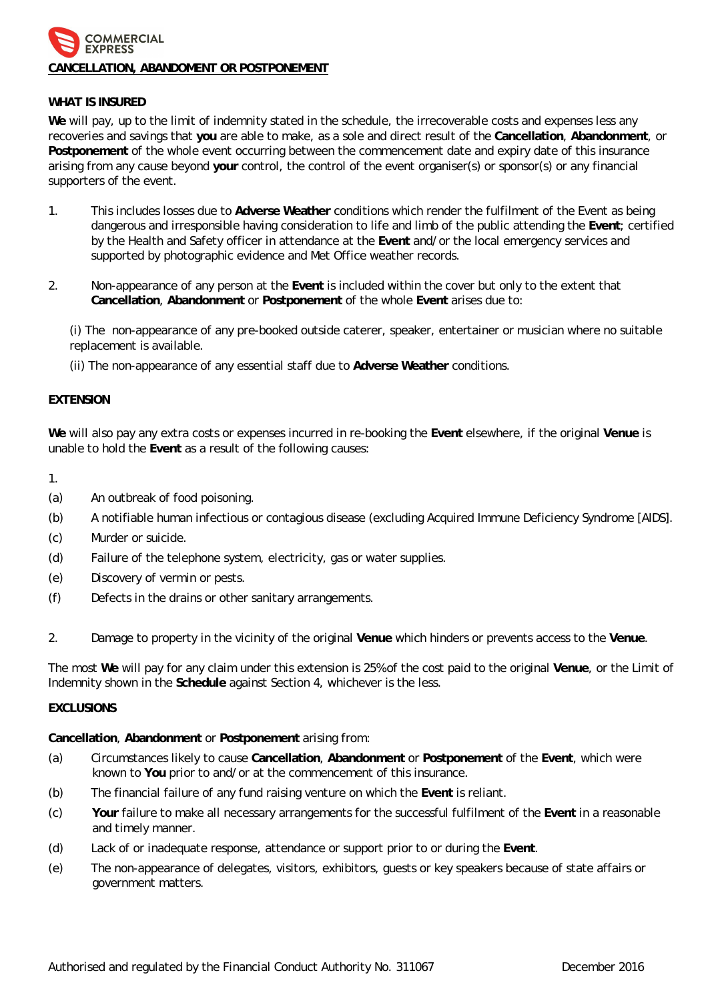# COMMERCIAL **EXPRESS CANCELLATION, ABANDOMENT OR POSTPONEMENT**

# **WHAT IS INSURED**

**We** will pay, up to the limit of indemnity stated in the schedule, the irrecoverable costs and expenses less any recoveries and savings that **you** are able to make, as a sole and direct result of the **Cancellation**, **Abandonment**, or **Postponement** of the whole event occurring between the commencement date and expiry date of this insurance arising from any cause beyond **your** control, the control of the event organiser(s) or sponsor(s) or any financial supporters of the event.

- 1. This includes losses due to **Adverse Weather** conditions which render the fulfilment of the Event as being dangerous and irresponsible having consideration to life and limb of the public attending the **Event**; certified by the Health and Safety officer in attendance at the **Event** and/or the local emergency services and supported by photographic evidence and Met Office weather records.
- 2. Non-appearance of any person at the **Event** is included within the cover but only to the extent that **Cancellation**, **Abandonment** or **Postponement** of the whole **Event** arises due to:

(i) The non-appearance of any pre-booked outside caterer, speaker, entertainer or musician where no suitable replacement is available.

(ii) The non-appearance of any essential staff due to **Adverse Weather** conditions.

## **EXTENSION**

**We** will also pay any extra costs or expenses incurred in re-booking the **Event** elsewhere, if the original **Venue** is unable to hold the **Event** as a result of the following causes:

1.

- (a) An outbreak of food poisoning.
- (b) A notifiable human infectious or contagious disease (excluding Acquired Immune Deficiency Syndrome [AIDS].
- (c) Murder or suicide.
- (d) Failure of the telephone system, electricity, gas or water supplies.
- (e) Discovery of vermin or pests.
- (f) Defects in the drains or other sanitary arrangements.
- 2. Damage to property in the vicinity of the original **Venue** which hinders or prevents access to the **Venue**.

The most **We** will pay for any claim under this extension is 25% of the cost paid to the original **Venue**, or the Limit of Indemnity shown in the **Schedule** against Section 4, whichever is the less.

# **EXCLUSIONS**

**Cancellation**, **Abandonment** or **Postponement** arising from:

- (a) Circumstances likely to cause **Cancellation**, **Abandonment** or **Postponement** of the **Event**, which were known to **You** prior to and/or at the commencement of this insurance.
- (b) The financial failure of any fund raising venture on which the **Event** is reliant.
- (c) **Your** failure to make all necessary arrangements for the successful fulfilment of the **Event** in a reasonable and timely manner.
- (d) Lack of or inadequate response, attendance or support prior to or during the **Event**.
- (e) The non-appearance of delegates, visitors, exhibitors, guests or key speakers because of state affairs or government matters.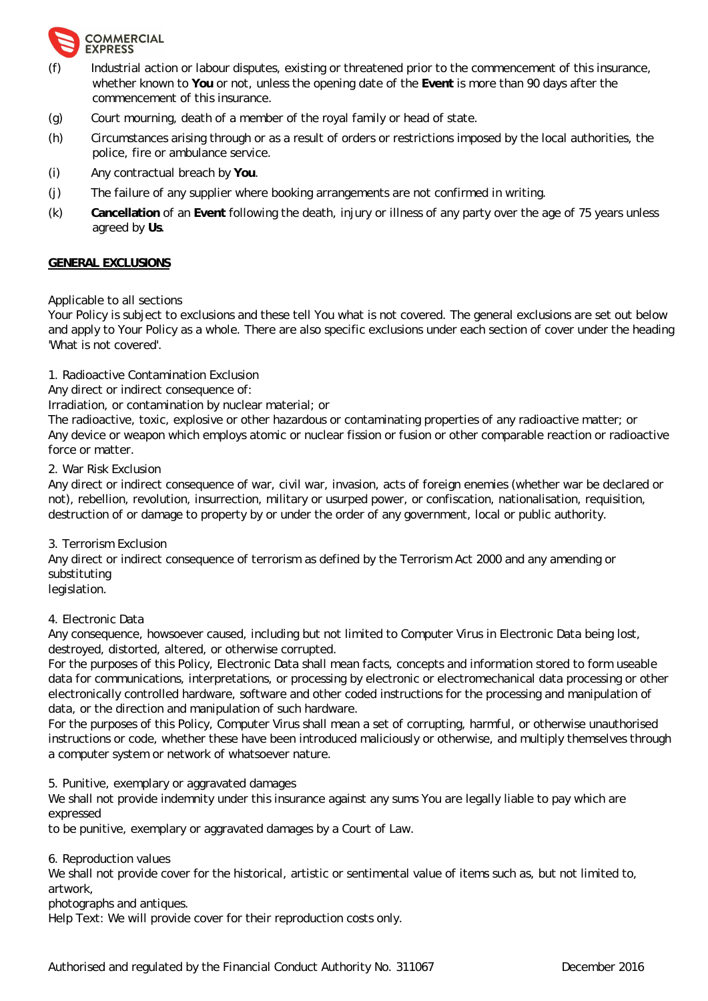

- Industrial action or labour disputes, existing or threatened prior to the commencement of this insurance, whether known to **You** or not, unless the opening date of the **Event** is more than 90 days after the commencement of this insurance.
- (g) Court mourning, death of a member of the royal family or head of state.
- (h) Circumstances arising through or as a result of orders or restrictions imposed by the local authorities, the police, fire or ambulance service.
- (i) Any contractual breach by **You**.
- (j) The failure of any supplier where booking arrangements are not confirmed in writing.
- (k) **Cancellation** of an **Event** following the death, injury or illness of any party over the age of 75 years unless agreed by **Us**.

#### **GENERAL EXCLUSIONS**

Applicable to all sections

Your Policy is subject to exclusions and these tell You what is not covered. The general exclusions are set out below and apply to Your Policy as a whole. There are also specific exclusions under each section of cover under the heading 'What is not covered'.

1. Radioactive Contamination Exclusion

Any direct or indirect consequence of:

Irradiation, or contamination by nuclear material; or

The radioactive, toxic, explosive or other hazardous or contaminating properties of any radioactive matter; or Any device or weapon which employs atomic or nuclear fission or fusion or other comparable reaction or radioactive force or matter.

#### 2. War Risk Exclusion

Any direct or indirect consequence of war, civil war, invasion, acts of foreign enemies (whether war be declared or not), rebellion, revolution, insurrection, military or usurped power, or confiscation, nationalisation, requisition, destruction of or damage to property by or under the order of any government, local or public authority.

#### 3. Terrorism Exclusion

Any direct or indirect consequence of terrorism as defined by the Terrorism Act 2000 and any amending or substituting

legislation.

#### 4. Electronic Data

Any consequence, howsoever caused, including but not limited to Computer Virus in Electronic Data being lost, destroyed, distorted, altered, or otherwise corrupted.

For the purposes of this Policy, Electronic Data shall mean facts, concepts and information stored to form useable data for communications, interpretations, or processing by electronic or electromechanical data processing or other electronically controlled hardware, software and other coded instructions for the processing and manipulation of data, or the direction and manipulation of such hardware.

For the purposes of this Policy, Computer Virus shall mean a set of corrupting, harmful, or otherwise unauthorised instructions or code, whether these have been introduced maliciously or otherwise, and multiply themselves through a computer system or network of whatsoever nature.

5. Punitive, exemplary or aggravated damages

We shall not provide indemnity under this insurance against any sums You are legally liable to pay which are expressed

to be punitive, exemplary or aggravated damages by a Court of Law.

6. Reproduction values

We shall not provide cover for the historical, artistic or sentimental value of items such as, but not limited to, artwork,

photographs and antiques.

Help Text: We will provide cover for their reproduction costs only.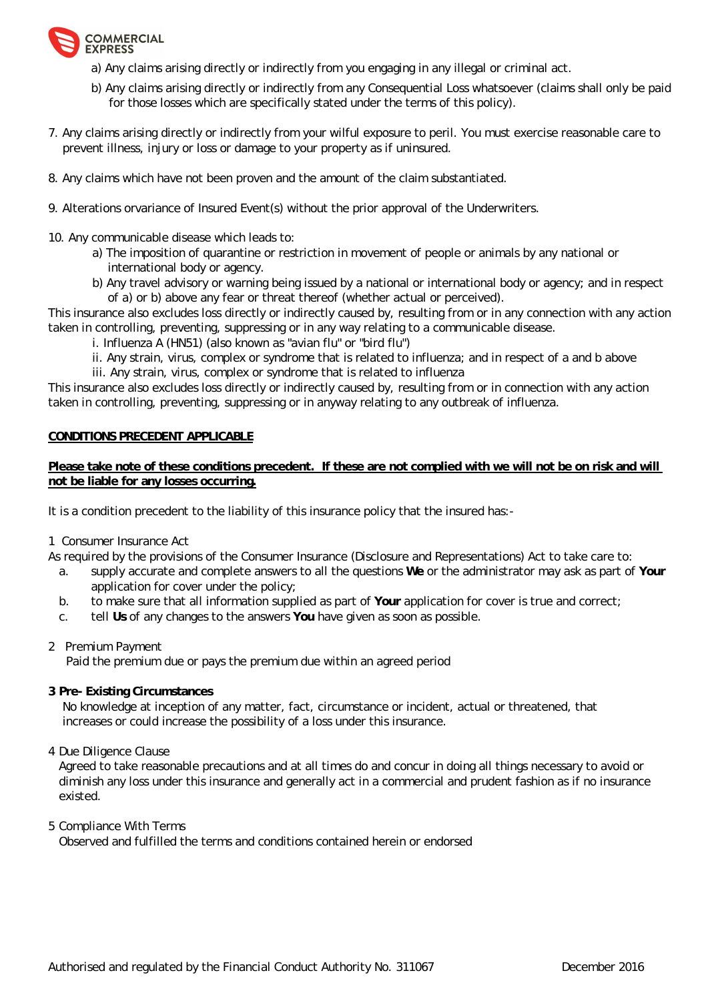

- a) Any claims arising directly or indirectly from you engaging in any illegal or criminal act.
- b) Any claims arising directly or indirectly from any Consequential Loss whatsoever (claims shall only be paid for those losses which are specifically stated under the terms of this policy).
- 7. Any claims arising directly or indirectly from your wilful exposure to peril. You must exercise reasonable care to prevent illness, injury or loss or damage to your property as if uninsured.
- 8. Any claims which have not been proven and the amount of the claim substantiated.
- 9. Alterations orvariance of Insured Event(s) without the prior approval of the Underwriters.
- 10. Any communicable disease which leads to:
	- a) The imposition of quarantine or restriction in movement of people or animals by any national or international body or agency.
	- b) Any travel advisory or warning being issued by a national or international body or agency; and in respect of a) or b) above any fear or threat thereof (whether actual or perceived).

This insurance also excludes loss directly or indirectly caused by, resulting from or in any connection with any action taken in controlling, preventing, suppressing or in any way relating to a communicable disease.

- i. Influenza A (HN51) (also known as "avian flu" or "bird flu")
- ii. Any strain, virus, complex or syndrome that is related to influenza; and in respect of a and b above
- iii. Any strain, virus, complex or syndrome that is related to influenza

This insurance also excludes loss directly or indirectly caused by, resulting from or in connection with any action taken in controlling, preventing, suppressing or in anyway relating to any outbreak of influenza.

# **CONDITIONS PRECEDENT APPLICABLE**

Please take note of these conditions precedent. If these are not complied with we will not be on risk and will **not be liable for any losses occurring.**

It is a condition precedent to the liability of this insurance policy that the insured has:-

1 Consumer Insurance Act

As required by the provisions of the Consumer Insurance (Disclosure and Representations) Act to take care to:

- a. supply accurate and complete answers to all the questions **We** or the administrator may ask as part of **Your** application for cover under the policy;
- b. to make sure that all information supplied as part of **Your** application for cover is true and correct;
- c. tell **Us** of any changes to the answers **You** have given as soon as possible.
- 2 Premium Payment

Paid the premium due or pays the premium due within an agreed period

**3 Pre- Existing Circumstances** 

 No knowledge at inception of any matter, fact, circumstance or incident, actual or threatened, that increases or could increase the possibility of a loss under this insurance.

4 Due Diligence Clause

Agreed to take reasonable precautions and at all times do and concur in doing all things necessary to avoid or diminish any loss under this insurance and generally act in a commercial and prudent fashion as if no insurance existed.

5 Compliance With Terms

Observed and fulfilled the terms and conditions contained herein or endorsed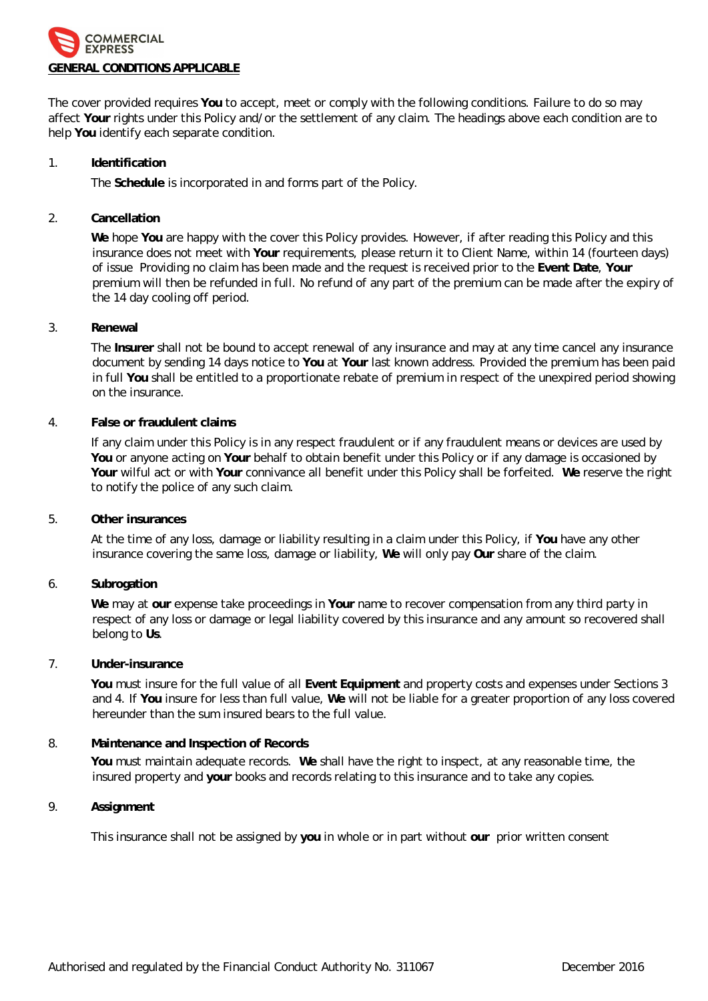

The cover provided requires **You** to accept, meet or comply with the following conditions. Failure to do so may affect **Your** rights under this Policy and/or the settlement of any claim. The headings above each condition are to help **You** identify each separate condition.

#### 1. **Identification**

The **Schedule** is incorporated in and forms part of the Policy.

## 2. **Cancellation**

**We** hope **You** are happy with the cover this Policy provides. However, if after reading this Policy and this insurance does not meet with **Your** requirements, please return it to Client Name, within 14 (fourteen days) of issue Providing no claim has been made and the request is received prior to the **Event Date**, **Your** premium will then be refunded in full. No refund of any part of the premium can be made after the expiry of the 14 day cooling off period.

#### 3. **Renewal**

The **Insurer** shall not be bound to accept renewal of any insurance and may at any time cancel any insurance document by sending 14 days notice to **You** at **Your** last known address. Provided the premium has been paid in full **You** shall be entitled to a proportionate rebate of premium in respect of the unexpired period showing on the insurance.

#### 4. **False or fraudulent claims**

If any claim under this Policy is in any respect fraudulent or if any fraudulent means or devices are used by **You** or anyone acting on **Your** behalf to obtain benefit under this Policy or if any damage is occasioned by **Your** wilful act or with **Your** connivance all benefit under this Policy shall be forfeited. **We** reserve the right to notify the police of any such claim.

5. **Other insurances**

At the time of any loss, damage or liability resulting in a claim under this Policy, if **You** have any other insurance covering the same loss, damage or liability, **We** will only pay **Our** share of the claim.

6. **Subrogation**

**We** may at **our** expense take proceedings in **Your** name to recover compensation from any third party in respect of any loss or damage or legal liability covered by this insurance and any amount so recovered shall belong to **Us**.

7. **Under-insurance**

**You** must insure for the full value of all **Event Equipment** and property costs and expenses under Sections 3 and 4. If **You** insure for less than full value, **We** will not be liable for a greater proportion of any loss covered hereunder than the sum insured bears to the full value.

# 8. **Maintenance and Inspection of Records**

**You** must maintain adequate records. **We** shall have the right to inspect, at any reasonable time, the insured property and **your** books and records relating to this insurance and to take any copies.

9. **Assignment**

This insurance shall not be assigned by **you** in whole or in part without **our** prior written consent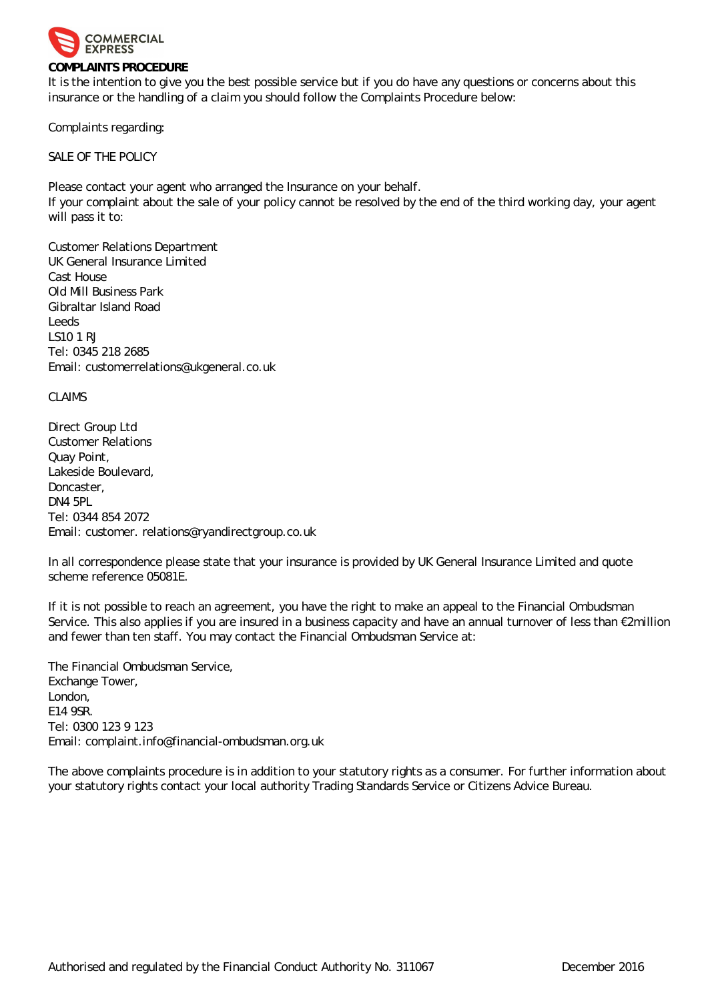

#### **COMPLAINTS PROCEDURE**

It is the intention to give you the best possible service but if you do have any questions or concerns about this insurance or the handling of a claim you should follow the Complaints Procedure below:

Complaints regarding:

SALE OF THE POLICY

Please contact your agent who arranged the Insurance on your behalf.

If your complaint about the sale of your policy cannot be resolved by the end of the third working day, your agent will pass it to:

Customer Relations Department UK General Insurance Limited Cast House Old Mill Business Park Gibraltar Island Road Leeds LS10 1 RJ Tel: 0345 218 2685 Email: [customerrelations@ukgeneral.co.uk](mailto:customerrelations@ukgeneral.co.uk)

CLAIMS

Direct Group Ltd Customer Relations Quay Point, Lakeside Boulevard, Doncaster, DN4 5PL Tel: 0344 854 2072 Email: customer. [relations@ryandirectgroup.co.uk](mailto:relations@ryandirectgroup.co.uk)

In all correspondence please state that your insurance is provided by UK General Insurance Limited and quote scheme reference 05081E.

If it is not possible to reach an agreement, you have the right to make an appeal to the Financial Ombudsman Service. This also applies if you are insured in a business capacity and have an annual turnover of less than 2million and fewer than ten staff. You may contact the Financial Ombudsman Service at:

The Financial Ombudsman Service, Exchange Tower, London, E14 9SR. Tel: 0300 123 9 123 Email: [complaint.info@financial-ombudsman.org.uk](mailto:complaint.info@financial-ombudsman.org.uk)

The above complaints procedure is in addition to your statutory rights as a consumer. For further information about your statutory rights contact your local authority Trading Standards Service or Citizens Advice Bureau.